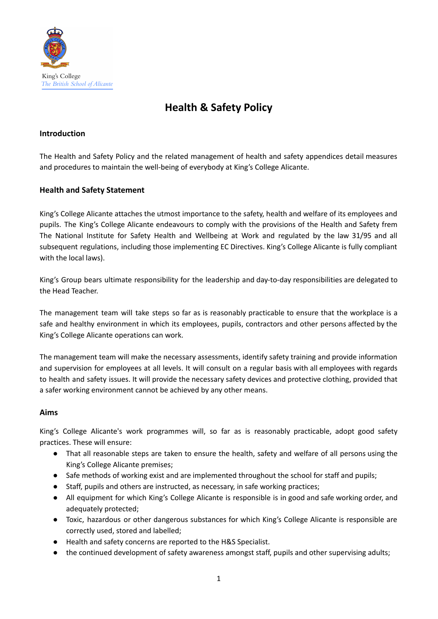

# **Health & Safety Policy**

## **Introduction**

The Health and Safety Policy and the related management of health and safety appendices detail measures and procedures to maintain the well-being of everybody at King's College Alicante.

## **Health and Safety Statement**

King's College Alicante attaches the utmost importance to the safety, health and welfare of its employees and pupils. The King's College Alicante endeavours to comply with the provisions of the Health and Safety frem The National Institute for Safety Health and Wellbeing at Work and regulated by the law 31/95 and all subsequent regulations, including those implementing EC Directives. King's College Alicante is fully compliant with the local laws).

King's Group bears ultimate responsibility for the leadership and day-to-day responsibilities are delegated to the Head Teacher.

The management team will take steps so far as is reasonably practicable to ensure that the workplace is a safe and healthy environment in which its employees, pupils, contractors and other persons affected by the King's College Alicante operations can work.

The management team will make the necessary assessments, identify safety training and provide information and supervision for employees at all levels. It will consult on a regular basis with all employees with regards to health and safety issues. It will provide the necessary safety devices and protective clothing, provided that a safer working environment cannot be achieved by any other means.

## **Aims**

King's College Alicante's work programmes will, so far as is reasonably practicable, adopt good safety practices. These will ensure:

- That all reasonable steps are taken to ensure the health, safety and welfare of all persons using the King's College Alicante premises;
- Safe methods of working exist and are implemented throughout the school for staff and pupils;
- Staff, pupils and others are instructed, as necessary, in safe working practices;
- All equipment for which King's College Alicante is responsible is in good and safe working order, and adequately protected;
- Toxic, hazardous or other dangerous substances for which King's College Alicante is responsible are correctly used, stored and labelled;
- Health and safety concerns are reported to the H&S Specialist.
- the continued development of safety awareness amongst staff, pupils and other supervising adults;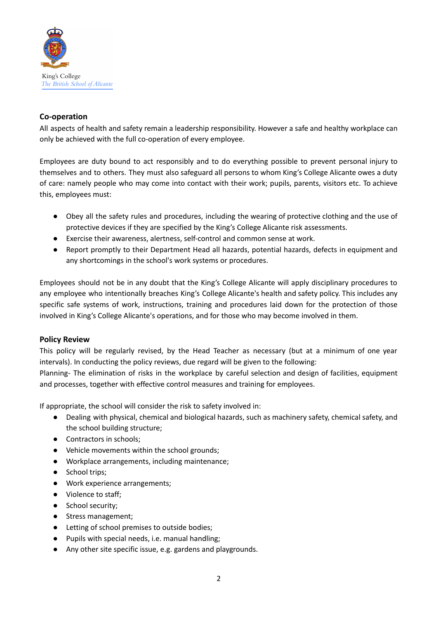

## **Co-operation**

All aspects of health and safety remain a leadership responsibility. However a safe and healthy workplace can only be achieved with the full co-operation of every employee.

Employees are duty bound to act responsibly and to do everything possible to prevent personal injury to themselves and to others. They must also safeguard all persons to whom King's College Alicante owes a duty of care: namely people who may come into contact with their work; pupils, parents, visitors etc. To achieve this, employees must:

- Obey all the safety rules and procedures, including the wearing of protective clothing and the use of protective devices if they are specified by the King's College Alicante risk assessments.
- Exercise their awareness, alertness, self-control and common sense at work.
- Report promptly to their Department Head all hazards, potential hazards, defects in equipment and any shortcomings in the school's work systems or procedures.

Employees should not be in any doubt that the King's College Alicante will apply disciplinary procedures to any employee who intentionally breaches King's College Alicante's health and safety policy. This includes any specific safe systems of work, instructions, training and procedures laid down for the protection of those involved in King's College Alicante's operations, and for those who may become involved in them.

## **Policy Review**

This policy will be regularly revised, by the Head Teacher as necessary (but at a minimum of one year intervals). In conducting the policy reviews, due regard will be given to the following:

Planning- The elimination of risks in the workplace by careful selection and design of facilities, equipment and processes, together with effective control measures and training for employees.

If appropriate, the school will consider the risk to safety involved in:

- Dealing with physical, chemical and biological hazards, such as machinery safety, chemical safety, and the school building structure;
- Contractors in schools;
- Vehicle movements within the school grounds;
- Workplace arrangements, including maintenance;
- School trips;
- Work experience arrangements;
- Violence to staff;
- School security;
- Stress management;
- Letting of school premises to outside bodies;
- Pupils with special needs, i.e. manual handling;
- Any other site specific issue, e.g. gardens and playgrounds.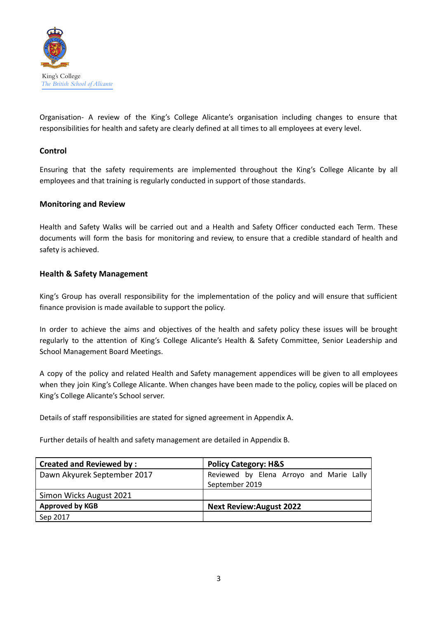

Organisation- A review of the King's College Alicante's organisation including changes to ensure that responsibilities for health and safety are clearly defined at all times to all employees at every level.

## **Control**

Ensuring that the safety requirements are implemented throughout the King's College Alicante by all employees and that training is regularly conducted in support of those standards.

## **Monitoring and Review**

Health and Safety Walks will be carried out and a Health and Safety Officer conducted each Term. These documents will form the basis for monitoring and review, to ensure that a credible standard of health and safety is achieved.

## **Health & Safety Management**

King's Group has overall responsibility for the implementation of the policy and will ensure that sufficient finance provision is made available to support the policy.

In order to achieve the aims and objectives of the health and safety policy these issues will be brought regularly to the attention of King's College Alicante's Health & Safety Committee, Senior Leadership and School Management Board Meetings.

A copy of the policy and related Health and Safety management appendices will be given to all employees when they join King's College Alicante. When changes have been made to the policy, copies will be placed on King's College Alicante's School server.

Details of staff responsibilities are stated for signed agreement in Appendix A.

Further details of health and safety management are detailed in Appendix B.

| <b>Created and Reviewed by:</b> | <b>Policy Category: H&amp;S</b>          |
|---------------------------------|------------------------------------------|
| Dawn Akyurek September 2017     | Reviewed by Elena Arroyo and Marie Lally |
|                                 | September 2019                           |
| Simon Wicks August 2021         |                                          |
| <b>Approved by KGB</b>          | <b>Next Review: August 2022</b>          |
| Sep 2017                        |                                          |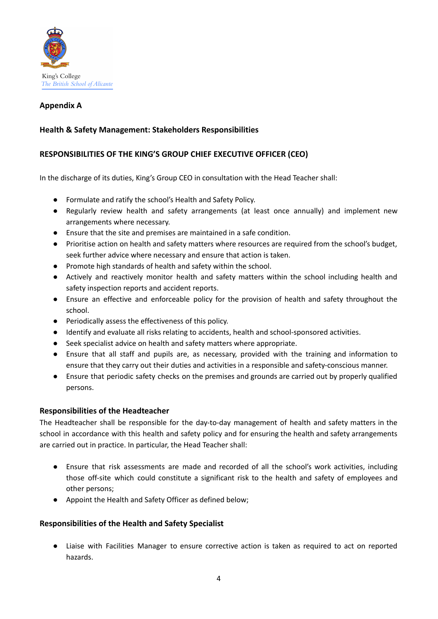

## **Appendix A**

## **Health & Safety Management: Stakeholders Responsibilities**

## **RESPONSIBILITIES OF THE KING'S GROUP CHIEF EXECUTIVE OFFICER (CEO)**

In the discharge of its duties, King's Group CEO in consultation with the Head Teacher shall:

- Formulate and ratify the school's Health and Safety Policy.
- Regularly review health and safety arrangements (at least once annually) and implement new arrangements where necessary.
- Ensure that the site and premises are maintained in a safe condition.
- Prioritise action on health and safety matters where resources are required from the school's budget, seek further advice where necessary and ensure that action is taken.
- Promote high standards of health and safety within the school.
- Actively and reactively monitor health and safety matters within the school including health and safety inspection reports and accident reports.
- Ensure an effective and enforceable policy for the provision of health and safety throughout the school.
- Periodically assess the effectiveness of this policy.
- Identify and evaluate all risks relating to accidents, health and school-sponsored activities.
- Seek specialist advice on health and safety matters where appropriate.
- Ensure that all staff and pupils are, as necessary, provided with the training and information to ensure that they carry out their duties and activities in a responsible and safety-conscious manner.
- Ensure that periodic safety checks on the premises and grounds are carried out by properly qualified persons.

#### **Responsibilities of the Headteacher**

The Headteacher shall be responsible for the day-to-day management of health and safety matters in the school in accordance with this health and safety policy and for ensuring the health and safety arrangements are carried out in practice. In particular, the Head Teacher shall:

- Ensure that risk assessments are made and recorded of all the school's work activities, including those off-site which could constitute a significant risk to the health and safety of employees and other persons;
- Appoint the Health and Safety Officer as defined below;

## **Responsibilities of the Health and Safety Specialist**

● Liaise with Facilities Manager to ensure corrective action is taken as required to act on reported hazards.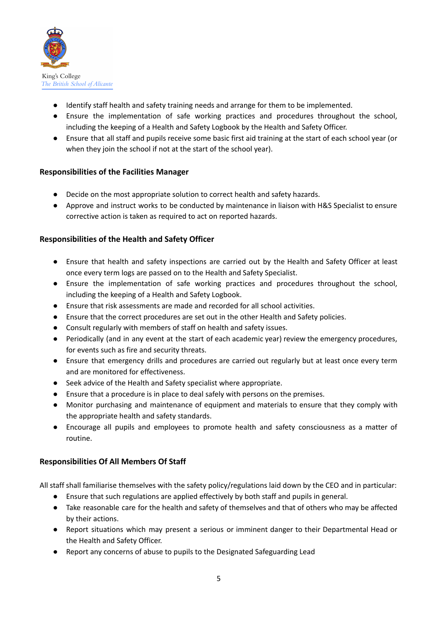

- Identify staff health and safety training needs and arrange for them to be implemented.
- Ensure the implementation of safe working practices and procedures throughout the school, including the keeping of a Health and Safety Logbook by the Health and Safety Officer.
- Ensure that all staff and pupils receive some basic first aid training at the start of each school year (or when they join the school if not at the start of the school year).

## **Responsibilities of the Facilities Manager**

- Decide on the most appropriate solution to correct health and safety hazards.
- Approve and instruct works to be conducted by maintenance in liaison with H&S Specialist to ensure corrective action is taken as required to act on reported hazards.

## **Responsibilities of the Health and Safety Officer**

- Ensure that health and safety inspections are carried out by the Health and Safety Officer at least once every term logs are passed on to the Health and Safety Specialist.
- Ensure the implementation of safe working practices and procedures throughout the school, including the keeping of a Health and Safety Logbook.
- Ensure that risk assessments are made and recorded for all school activities.
- Ensure that the correct procedures are set out in the other Health and Safety policies.
- Consult regularly with members of staff on health and safety issues.
- Periodically (and in any event at the start of each academic year) review the emergency procedures, for events such as fire and security threats.
- Ensure that emergency drills and procedures are carried out regularly but at least once every term and are monitored for effectiveness.
- Seek advice of the Health and Safety specialist where appropriate.
- Ensure that a procedure is in place to deal safely with persons on the premises.
- Monitor purchasing and maintenance of equipment and materials to ensure that they comply with the appropriate health and safety standards.
- Encourage all pupils and employees to promote health and safety consciousness as a matter of routine.

## **Responsibilities Of All Members Of Staff**

All staff shall familiarise themselves with the safety policy/regulations laid down by the CEO and in particular:

- Ensure that such regulations are applied effectively by both staff and pupils in general.
- Take reasonable care for the health and safety of themselves and that of others who may be affected by their actions.
- Report situations which may present a serious or imminent danger to their Departmental Head or the Health and Safety Officer.
- Report any concerns of abuse to pupils to the Designated Safeguarding Lead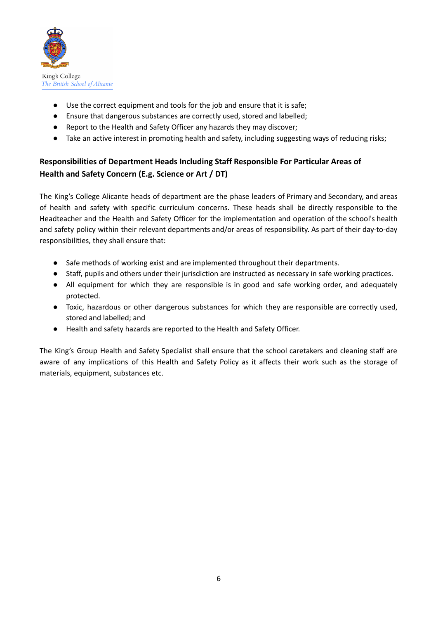

- Use the correct equipment and tools for the job and ensure that it is safe;
- Ensure that dangerous substances are correctly used, stored and labelled;
- Report to the Health and Safety Officer any hazards they may discover;
- Take an active interest in promoting health and safety, including suggesting ways of reducing risks;

## **Responsibilities of Department Heads Including Staff Responsible For Particular Areas of Health and Safety Concern (E.g. Science or Art / DT)**

The King's College Alicante heads of department are the phase leaders of Primary and Secondary, and areas of health and safety with specific curriculum concerns. These heads shall be directly responsible to the Headteacher and the Health and Safety Officer for the implementation and operation of the school's health and safety policy within their relevant departments and/or areas of responsibility. As part of their day-to-day responsibilities, they shall ensure that:

- Safe methods of working exist and are implemented throughout their departments.
- Staff, pupils and others under their jurisdiction are instructed as necessary in safe working practices.
- All equipment for which they are responsible is in good and safe working order, and adequately protected.
- Toxic, hazardous or other dangerous substances for which they are responsible are correctly used, stored and labelled; and
- Health and safety hazards are reported to the Health and Safety Officer.

The King's Group Health and Safety Specialist shall ensure that the school caretakers and cleaning staff are aware of any implications of this Health and Safety Policy as it affects their work such as the storage of materials, equipment, substances etc.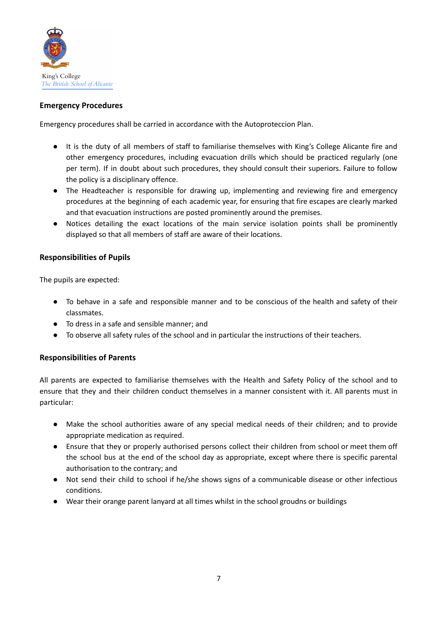

## **Emergency Procedures**

Emergency procedures shall be carried in accordance with the Autoproteccion Plan.

- It is the duty of all members of staff to familiarise themselves with King's College Alicante fire and other emergency procedures, including evacuation drills which should be practiced regularly (one per term). If in doubt about such procedures, they should consult their superiors. Failure to follow the policy is a disciplinary offence.
- The Headteacher is responsible for drawing up, implementing and reviewing fire and emergency procedures at the beginning of each academic year, for ensuring that fire escapes are clearly marked and that evacuation instructions are posted prominently around the premises.
- Notices detailing the exact locations of the main service isolation points shall be prominently displayed so that all members of staff are aware of their locations.

## **Responsibilities of Pupils**

The pupils are expected:

- To behave in a safe and responsible manner and to be conscious of the health and safety of their classmates.
- To dress in a safe and sensible manner; and
- To observe all safety rules of the school and in particular the instructions of their teachers.

## **Responsibilities of Parents**

All parents are expected to familiarise themselves with the Health and Safety Policy of the school and to ensure that they and their children conduct themselves in a manner consistent with it. All parents must in particular:

- Make the school authorities aware of any special medical needs of their children; and to provide appropriate medication as required.
- Ensure that they or properly authorised persons collect their children from school or meet them off the school bus at the end of the school day as appropriate, except where there is specific parental authorisation to the contrary; and
- Not send their child to school if he/she shows signs of a communicable disease or other infectious conditions.
- Wear their orange parent lanyard at all times whilst in the school groudns or buildings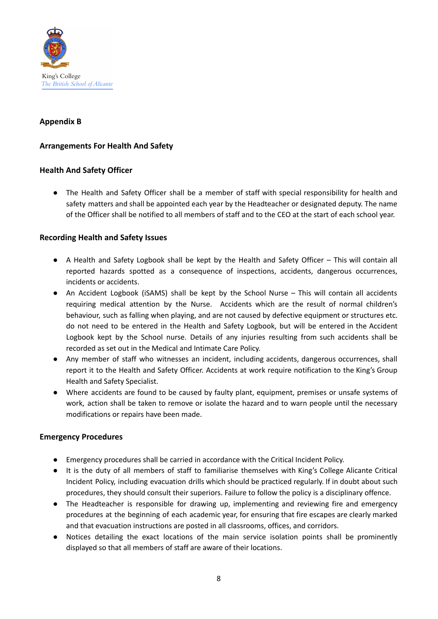

## **Appendix B**

## **Arrangements For Health And Safety**

## **Health And Safety Officer**

● The Health and Safety Officer shall be a member of staff with special responsibility for health and safety matters and shall be appointed each year by the Headteacher or designated deputy. The name of the Officer shall be notified to all members of staff and to the CEO at the start of each school year.

## **Recording Health and Safety Issues**

- A Health and Safety Logbook shall be kept by the Health and Safety Officer This will contain all reported hazards spotted as a consequence of inspections, accidents, dangerous occurrences, incidents or accidents.
- An Accident Logbook (iSAMS) shall be kept by the School Nurse This will contain all accidents requiring medical attention by the Nurse. Accidents which are the result of normal children's behaviour, such as falling when playing, and are not caused by defective equipment or structures etc. do not need to be entered in the Health and Safety Logbook, but will be entered in the Accident Logbook kept by the School nurse. Details of any injuries resulting from such accidents shall be recorded as set out in the Medical and Intimate Care Policy.
- **●** Any member of staff who witnesses an incident, including accidents, dangerous occurrences, shall report it to the Health and Safety Officer. Accidents at work require notification to the King's Group Health and Safety Specialist.
- Where accidents are found to be caused by faulty plant, equipment, premises or unsafe systems of work, action shall be taken to remove or isolate the hazard and to warn people until the necessary modifications or repairs have been made.

## **Emergency Procedures**

- Emergency procedures shall be carried in accordance with the Critical Incident Policy.
- It is the duty of all members of staff to familiarise themselves with King's College Alicante Critical Incident Policy, including evacuation drills which should be practiced regularly. If in doubt about such procedures, they should consult their superiors. Failure to follow the policy is a disciplinary offence.
- The Headteacher is responsible for drawing up, implementing and reviewing fire and emergency procedures at the beginning of each academic year, for ensuring that fire escapes are clearly marked and that evacuation instructions are posted in all classrooms, offices, and corridors.
- Notices detailing the exact locations of the main service isolation points shall be prominently displayed so that all members of staff are aware of their locations.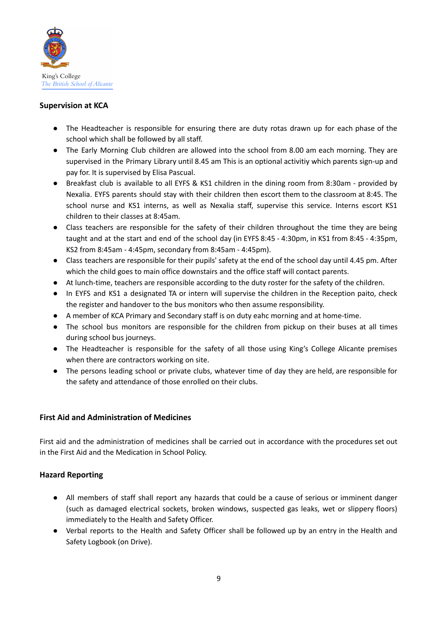

## **Supervision at KCA**

- The Headteacher is responsible for ensuring there are duty rotas drawn up for each phase of the school which shall be followed by all staff.
- The Early Morning Club children are allowed into the school from 8.00 am each morning. They are supervised in the Primary Library until 8.45 am This is an optional activitiy which parents sign-up and pay for. It is supervised by Elisa Pascual.
- Breakfast club is available to all EYFS & KS1 children in the dining room from 8:30am provided by Nexalia. EYFS parents should stay with their children then escort them to the classroom at 8:45. The school nurse and KS1 interns, as well as Nexalia staff, supervise this service. Interns escort KS1 children to their classes at 8:45am.
- Class teachers are responsible for the safety of their children throughout the time they are being taught and at the start and end of the school day (in EYFS 8:45 - 4:30pm, in KS1 from 8:45 - 4:35pm, KS2 from 8:45am - 4:45pm, secondary from 8:45am - 4:45pm).
- Class teachers are responsible for their pupils' safety at the end of the school day until 4.45 pm. After which the child goes to main office downstairs and the office staff will contact parents.
- At lunch-time, teachers are responsible according to the duty roster for the safety of the children.
- In EYFS and KS1 a designated TA or intern will supervise the children in the Reception paito, check the register and handover to the bus monitors who then assume responsibility.
- A member of KCA Primary and Secondary staff is on duty eahc morning and at home-time.
- The school bus monitors are responsible for the children from pickup on their buses at all times during school bus journeys.
- The Headteacher is responsible for the safety of all those using King's College Alicante premises when there are contractors working on site.
- The persons leading school or private clubs, whatever time of day they are held, are responsible for the safety and attendance of those enrolled on their clubs.

## **First Aid and Administration of Medicines**

First aid and the administration of medicines shall be carried out in accordance with the procedures set out in the First Aid and the Medication in School Policy.

## **Hazard Reporting**

- All members of staff shall report any hazards that could be a cause of serious or imminent danger (such as damaged electrical sockets, broken windows, suspected gas leaks, wet or slippery floors) immediately to the Health and Safety Officer.
- Verbal reports to the Health and Safety Officer shall be followed up by an entry in the Health and Safety Logbook (on Drive).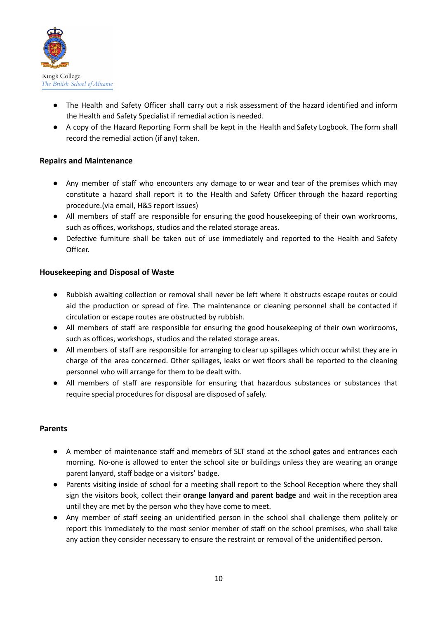

- The Health and Safety Officer shall carry out a risk assessment of the hazard identified and inform the Health and Safety Specialist if remedial action is needed.
- A copy of the Hazard Reporting Form shall be kept in the Health and Safety Logbook. The form shall record the remedial action (if any) taken.

## **Repairs and Maintenance**

- Any member of staff who encounters any damage to or wear and tear of the premises which may constitute a hazard shall report it to the Health and Safety Officer through the hazard reporting procedure.(via email, H&S report issues)
- All members of staff are responsible for ensuring the good housekeeping of their own workrooms, such as offices, workshops, studios and the related storage areas.
- Defective furniture shall be taken out of use immediately and reported to the Health and Safety Officer.

## **Housekeeping and Disposal of Waste**

- Rubbish awaiting collection or removal shall never be left where it obstructs escape routes or could aid the production or spread of fire. The maintenance or cleaning personnel shall be contacted if circulation or escape routes are obstructed by rubbish.
- All members of staff are responsible for ensuring the good housekeeping of their own workrooms, such as offices, workshops, studios and the related storage areas.
- All members of staff are responsible for arranging to clear up spillages which occur whilst they are in charge of the area concerned. Other spillages, leaks or wet floors shall be reported to the cleaning personnel who will arrange for them to be dealt with.
- All members of staff are responsible for ensuring that hazardous substances or substances that require special procedures for disposal are disposed of safely.

## **Parents**

- A member of maintenance staff and memebrs of SLT stand at the school gates and entrances each morning. No-one is allowed to enter the school site or buildings unless they are wearing an orange parent lanyard, staff badge or a visitors' badge.
- Parents visiting inside of school for a meeting shall report to the School Reception where they shall sign the visitors book, collect their **orange lanyard and parent badge** and wait in the reception area until they are met by the person who they have come to meet.
- Any member of staff seeing an unidentified person in the school shall challenge them politely or report this immediately to the most senior member of staff on the school premises, who shall take any action they consider necessary to ensure the restraint or removal of the unidentified person.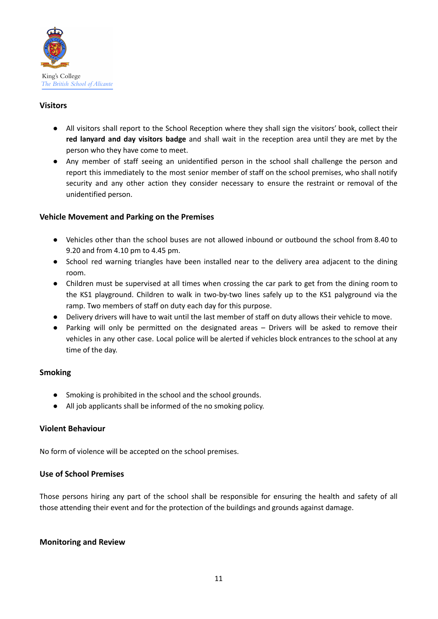

## **Visitors**

- All visitors shall report to the School Reception where they shall sign the visitors' book, collect their **red lanyard and day visitors badge** and shall wait in the reception area until they are met by the person who they have come to meet.
- Any member of staff seeing an unidentified person in the school shall challenge the person and report this immediately to the most senior member of staff on the school premises, who shall notify security and any other action they consider necessary to ensure the restraint or removal of the unidentified person.

## **Vehicle Movement and Parking on the Premises**

- Vehicles other than the school buses are not allowed inbound or outbound the school from 8.40 to 9.20 and from 4.10 pm to 4.45 pm.
- School red warning triangles have been installed near to the delivery area adjacent to the dining room.
- Children must be supervised at all times when crossing the car park to get from the dining room to the KS1 playground. Children to walk in two-by-two lines safely up to the KS1 palyground via the ramp. Two members of staff on duty each day for this purpose.
- Delivery drivers will have to wait until the last member of staff on duty allows their vehicle to move.
- **●** Parking will only be permitted on the designated areas Drivers will be asked to remove their vehicles in any other case. Local police will be alerted if vehicles block entrances to the school at any time of the day.

## **Smoking**

- Smoking is prohibited in the school and the school grounds.
- All job applicants shall be informed of the no smoking policy.

## **Violent Behaviour**

No form of violence will be accepted on the school premises.

## **Use of School Premises**

Those persons hiring any part of the school shall be responsible for ensuring the health and safety of all those attending their event and for the protection of the buildings and grounds against damage.

## **Monitoring and Review**